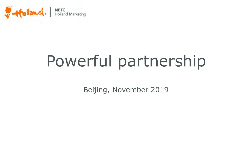

## Powerful partnership

Beijing, November 2019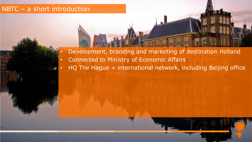## NBTC – a short introduction

• Development, branding and marketing of destination Holland

- Connected to Ministry of Economic Affairs
- HQ The Hague + international network, including Beijing office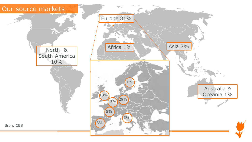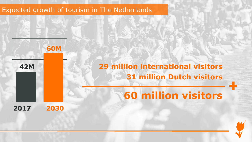## Expected growth of tourism in The Netherlands



## **29 million international visitors 31 million Dutch visitors**

## **60 million visitors**



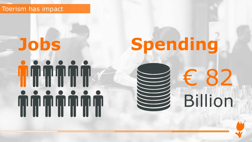### Toerism has impact

# **Jobs**<br> **CODE:**<br> **CODE:**<br> **CODE:**

## € 82 Billion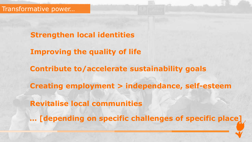**Creating employment > independance, self-esteem Strengthen local identities Improving the quality of life Contribute to/accelerate sustainability goals Revitalise local communities … [depending on specific challenges of specific place]**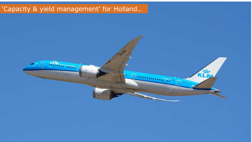## 'Capacity & yield management' for Holland…

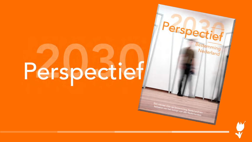# Perspectief

Een nieuwe visie op bestemming Nederland te<br>behoeve van het welzijn van alle Nederland te

Perspect

Bestemming Nederland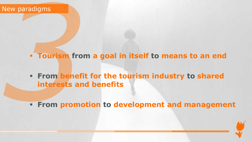### New paradigms

- **Tourism from a goal in itself to means to an end**
- **From benefit for the tourism industry to shared interests and benefits**

**From promotion to development and management**

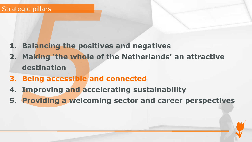- **1. Balancing the positives and negatives**
- **2. Making 'the whole of the Netherlands' an attractive destination**
- **3. Being accessible and connected**
- **4. Improving and accelerating sustainability**
- **5. Providing a welcoming sector and career perspectives**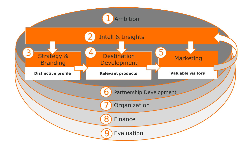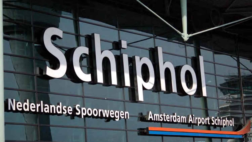# Nederlandse Spoorwegen

**Amsterdam Airport Schiphol**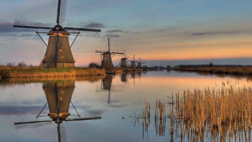